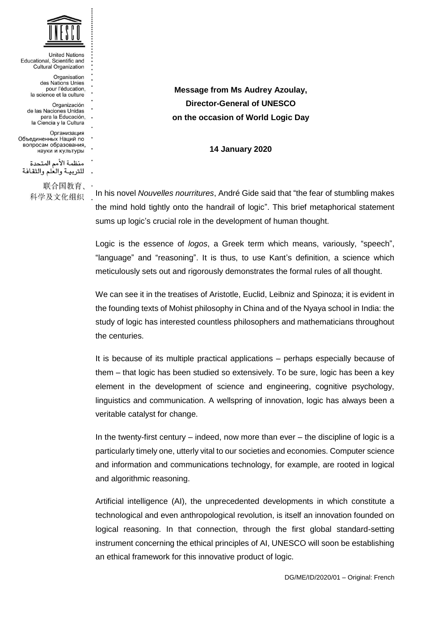

**United Nations** Educational, Scientific and **Cultural Organization** Organisation des Nations Unies pour l'éducation, la science et la culture

- Organización de las Naciones Unidas para la Educación, la Ciencia y la Cultura
- Организация Объединенных Наций по вопросам образования.
- науки и культуры
- منظمة الأمم المتحدة للتربية والعلم والثقافة

联合国教育、 科学及文化组织 ,

**Message from Ms Audrey Azoulay, Director-General of UNESCO on the occasion of World Logic Day**

**14 January 2020**

In his novel *Nouvelles nourritures*, André Gide said that "the fear of stumbling makes the mind hold tightly onto the handrail of logic". This brief metaphorical statement sums up logic's crucial role in the development of human thought.

Logic is the essence of *logos*, a Greek term which means, variously, "speech", "language" and "reasoning". It is thus, to use Kant's definition, a science which meticulously sets out and rigorously demonstrates the formal rules of all thought.

We can see it in the treatises of Aristotle, Euclid, Leibniz and Spinoza; it is evident in the founding texts of Mohist philosophy in China and of the Nyaya school in India: the study of logic has interested countless philosophers and mathematicians throughout the centuries.

It is because of its multiple practical applications – perhaps especially because of them – that logic has been studied so extensively. To be sure, logic has been a key element in the development of science and engineering, cognitive psychology, linguistics and communication. A wellspring of innovation, logic has always been a veritable catalyst for change.

In the twenty-first century – indeed, now more than ever – the discipline of logic is a particularly timely one, utterly vital to our societies and economies. Computer science and information and communications technology, for example, are rooted in logical and algorithmic reasoning.

Artificial intelligence (AI), the unprecedented developments in which constitute a technological and even anthropological revolution, is itself an innovation founded on logical reasoning. In that connection, through the first global standard-setting instrument concerning the ethical principles of AI, UNESCO will soon be establishing an ethical framework for this innovative product of logic.